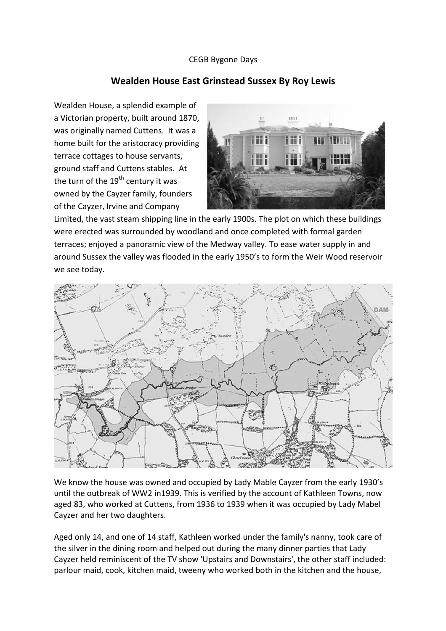## CEGB Bygone Days

## **Wealden House East Grinstead Sussex By Roy Lewis**

Wealden House, a splendid example of a Victorian property, built around 1870, was originally named Cuttens. It was a home built for the aristocracy providing terrace cottages to house servants, ground staff and Cuttens stables. At the turn of the  $19<sup>th</sup>$  century it was owned by the Cayzer family, founders of the Cayzer, Irvine and Company



Limited, the vast steam shipping line in the early 1900s. The plot on which these buildings were erected was surrounded by woodland and once completed with formal garden terraces; enjoyed a panoramic view of the Medway valley. To ease water supply in and around Sussex the valley was flooded in the early 1950's to form the Weir Wood reservoir we see today.



We know the house was owned and occupied by Lady Mable Cayzer from the early 1930's until the outbreak of WW2 in1939. This is verified by the account of Kathleen Towns, now aged 83, who worked at Cuttens, from 1936 to 1939 when it was occupied by Lady Mabel Cayzer and her two daughters.

Aged only 14, and one of 14 staff, Kathleen worked under the family's nanny, took care of the silver in the dining room and helped out during the many dinner parties that Lady Cayzer held reminiscent of the TV show 'Upstairs and Downstairs', the other staff included: parlour maid, cook, kitchen maid, tweeny who worked both in the kitchen and the house,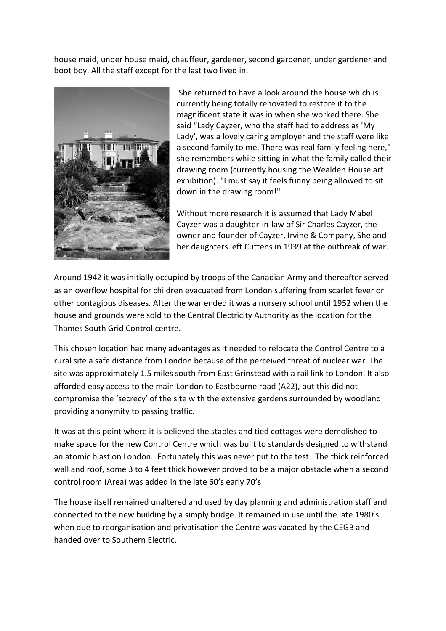house maid, under house maid, chauffeur, gardener, second gardener, under gardener and boot boy. All the staff except for the last two lived in.



She returned to have a look around the house which is currently being totally renovated to restore it to the magnificent state it was in when she worked there. She said "Lady Cayzer, who the staff had to address as 'My Lady', was a lovely caring employer and the staff were like a second family to me. There was real family feeling here," she remembers while sitting in what the family called their drawing room (currently housing the Wealden House art exhibition). "I must say it feels funny being allowed to sit down in the drawing room!"

Without more research it is assumed that Lady Mabel Cayzer was a daughter-in-law of Sir Charles Cayzer, the owner and founder of Cayzer, Irvine & Company, She and her daughters left Cuttens in 1939 at the outbreak of war.

Around 1942 it was initially occupied by troops of the Canadian Army and thereafter served as an overflow hospital for children evacuated from London suffering from scarlet fever or other contagious diseases. After the war ended it was a nursery school until 1952 when the house and grounds were sold to the Central Electricity Authority as the location for the Thames South Grid Control centre.

This chosen location had many advantages as it needed to relocate the Control Centre to a rural site a safe distance from London because of the perceived threat of nuclear war. The site was approximately 1.5 miles south from East Grinstead with a rail link to London. It also afforded easy access to the main London to Eastbourne road (A22), but this did not compromise the 'secrecy' of the site with the extensive gardens surrounded by woodland providing anonymity to passing traffic.

It was at this point where it is believed the stables and tied cottages were demolished to make space for the new Control Centre which was built to standards designed to withstand an atomic blast on London. Fortunately this was never put to the test. The thick reinforced wall and roof, some 3 to 4 feet thick however proved to be a major obstacle when a second control room (Area) was added in the late 60's early 70's

The house itself remained unaltered and used by day planning and administration staff and connected to the new building by a simply bridge. It remained in use until the late 1980's when due to reorganisation and privatisation the Centre was vacated by the CEGB and handed over to Southern Electric.